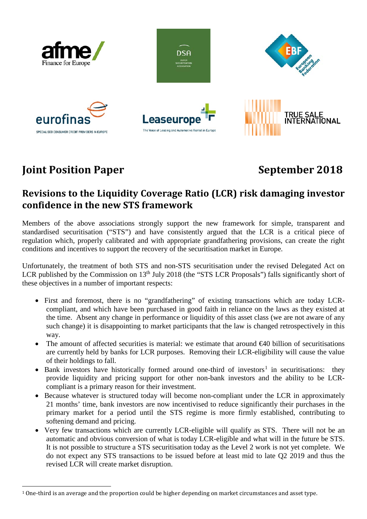

# **Joint Position Paper** September 2018

## **Revisions to the Liquidity Coverage Ratio (LCR) risk damaging investor confidence in the new STS framework**

Members of the above associations strongly support the new framework for simple, transparent and standardised securitisation ("STS") and have consistently argued that the LCR is a critical piece of regulation which, properly calibrated and with appropriate grandfathering provisions, can create the right conditions and incentives to support the recovery of the securitisation market in Europe.

Unfortunately, the treatment of both STS and non-STS securitisation under the revised Delegated Act on LCR published by the Commission on  $13<sup>th</sup>$  July 2018 (the "STS LCR Proposals") falls significantly short of these objectives in a number of important respects:

- First and foremost, there is no "grandfathering" of existing transactions which are today LCRcompliant, and which have been purchased in good faith in reliance on the laws as they existed at the time. Absent any change in performance or liquidity of this asset class (we are not aware of any such change) it is disappointing to market participants that the law is changed retrospectively in this way.
- The amount of affected securities is material: we estimate that around  $\bigoplus$  billion of securitisations are currently held by banks for LCR purposes. Removing their LCR-eligibility will cause the value of their holdings to fall.
- Bank investors have historically formed around one-third of investors<sup>[1](#page-0-0)</sup> in securitisations: they provide liquidity and pricing support for other non-bank investors and the ability to be LCRcompliant is a primary reason for their investment.
- Because whatever is structured today will become non-compliant under the LCR in approximately 21 months' time, bank investors are now incentivised to reduce significantly their purchases in the primary market for a period until the STS regime is more firmly established, contributing to softening demand and pricing.
- Very few transactions which are currently LCR-eligible will qualify as STS. There will not be an automatic and obvious conversion of what is today LCR-eligible and what will in the future be STS. It is not possible to structure a STS securitisation today as the Level 2 work is not yet complete. We do not expect any STS transactions to be issued before at least mid to late Q2 2019 and thus the revised LCR will create market disruption.

<span id="page-0-0"></span> <sup>1</sup> One-third is an average and the proportion could be higher depending on market circumstances and asset type.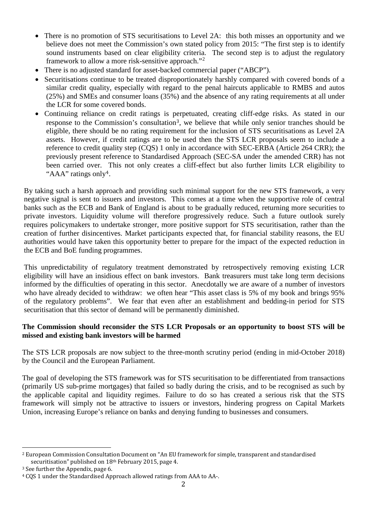- There is no promotion of STS securitisations to Level 2A: this both misses an opportunity and we believe does not meet the Commission's own stated policy from 2015: "The first step is to identify sound instruments based on clear eligibility criteria. The second step is to adjust the regulatory framework to allow a more risk-sensitive approach."[2](#page-1-0)
- There is no adjusted standard for asset-backed commercial paper ("ABCP").
- Securitisations continue to be treated disproportionately harshly compared with covered bonds of a similar credit quality, especially with regard to the penal haircuts applicable to RMBS and autos (25%) and SMEs and consumer loans (35%) and the absence of any rating requirements at all under the LCR for some covered bonds.
- Continuing reliance on credit ratings is [pe](#page-1-1)rpetuated, creating cliff-edge risks. As stated in our response to the Commission's consultation3, we believe that while only senior tranches should be eligible, there should be no rating requirement for the inclusion of STS securitisations as Level 2A assets. However, if credit ratings are to be used then the STS LCR proposals seem to include a reference to credit quality step (CQS) 1 only in accordance with SEC-ERBA (Article 264 CRR); the previously present reference to Standardised Approach (SEC-SA under the amended CRR) has not been carried over. [T](#page-1-2)his not only creates a cliff-effect but also further limits LCR eligibility to "AAA" ratings only4.

By taking such a harsh approach and providing such minimal support for the new STS framework, a very negative signal is sent to issuers and investors. This comes at a time when the supportive role of central banks such as the ECB and Bank of England is about to be gradually reduced, returning more securities to private investors. Liquidity volume will therefore progressively reduce. Such a future outlook surely requires policymakers to undertake stronger, more positive support for STS securitisation, rather than the creation of further disincentives. Market participants expected that, for financial stability reasons, the EU authorities would have taken this opportunity better to prepare for the impact of the expected reduction in the ECB and BoE funding programmes.

This unpredictability of regulatory treatment demonstrated by retrospectively removing existing LCR eligibility will have an insidious effect on bank investors. Bank treasurers must take long term decisions informed by the difficulties of operating in this sector. Anecdotally we are aware of a number of investors who have already decided to withdraw: we often hear "This asset class is 5% of my book and brings 95% of the regulatory problems". We fear that even after an establishment and bedding-in period for STS securitisation that this sector of demand will be permanently diminished.

### **The Commission should reconsider the STS LCR Proposals or an opportunity to boost STS will be missed and existing bank investors will be harmed**

The STS LCR proposals are now subject to the three-month scrutiny period (ending in mid-October 2018) by the Council and the European Parliament.

The goal of developing the STS framework was for STS securitisation to be differentiated from transactions (primarily US sub-prime mortgages) that failed so badly during the crisis, and to be recognised as such by the applicable capital and liquidity regimes. Failure to do so has created a serious risk that the STS framework will simply not be attractive to issuers or investors, hindering progress on Capital Markets Union, increasing Europe's reliance on banks and denying funding to businesses and consumers.

<span id="page-1-0"></span> <sup>2</sup> European Commission Consultation Document on "An EU framework for simple, transparent and standardised securitisation" published on 18<sup>th</sup> February 2015, page 4.

<span id="page-1-1"></span><sup>3</sup> See further the Appendix, page 6.

<span id="page-1-2"></span><sup>4</sup> CQS 1 under the Standardised Approach allowed ratings from AAA to AA-.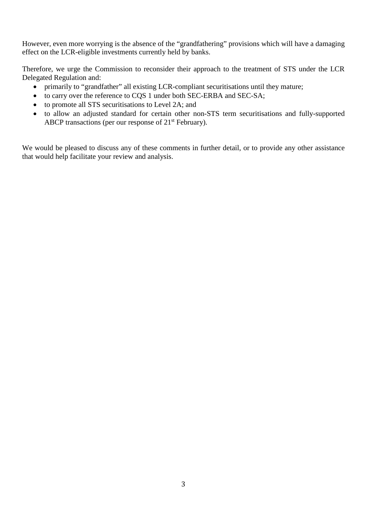However, even more worrying is the absence of the "grandfathering" provisions which will have a damaging effect on the LCR-eligible investments currently held by banks.

Therefore, we urge the Commission to reconsider their approach to the treatment of STS under the LCR Delegated Regulation and:

- primarily to "grandfather" all existing LCR-compliant securitisations until they mature;
- to carry over the reference to CQS 1 under both SEC-ERBA and SEC-SA;
- to promote all STS securitisations to Level 2A; and
- to allow an adjusted standard for certain other non-STS term securitisations and fully-supported ABCP transactions (per our response of  $21<sup>st</sup>$  February).

We would be pleased to discuss any of these comments in further detail, or to provide any other assistance that would help facilitate your review and analysis.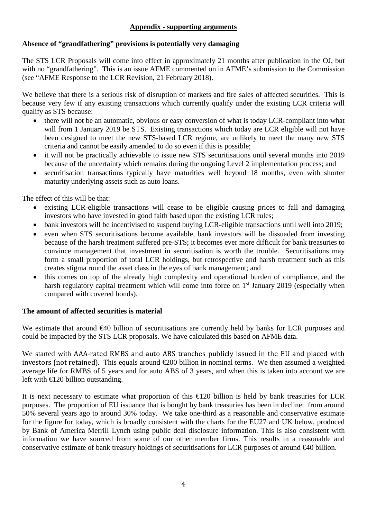### **Appendix - supporting arguments**

### **Absence of "grandfathering" provisions is potentially very damaging**

The STS LCR Proposals will come into effect in approximately 21 months after publication in the OJ, but with no "grandfathering". This is an issue AFME commented on in AFME's submission to the Commission (see "AFME Response to the LCR Revision, 21 February 2018).

We believe that there is a serious risk of disruption of markets and fire sales of affected securities. This is because very few if any existing transactions which currently qualify under the existing LCR criteria will qualify as STS because:

- there will not be an automatic, obvious or easy conversion of what is today LCR-compliant into what will from 1 January 2019 be STS. Existing transactions which today are LCR eligible will not have been designed to meet the new STS-based LCR regime, are unlikely to meet the many new STS criteria and cannot be easily amended to do so even if this is possible;
- it will not be practically achievable to issue new STS securitisations until several months into 2019 because of the uncertainty which remains during the ongoing Level 2 implementation process; and
- securitisation transactions typically have maturities well beyond 18 months, even with shorter maturity underlying assets such as auto loans.

The effect of this will be that:

- existing LCR-eligible transactions will cease to be eligible causing prices to fall and damaging investors who have invested in good faith based upon the existing LCR rules;
- bank investors will be incentivised to suspend buying LCR-eligible transactions until well into 2019;
- even when STS securitisations become available, bank investors will be dissuaded from investing because of the harsh treatment suffered pre-STS; it becomes ever more difficult for bank treasuries to convince management that investment in securitisation is worth the trouble. Securitisations may form a small proportion of total LCR holdings, but retrospective and harsh treatment such as this creates stigma round the asset class in the eyes of bank management; and
- this comes on top of the already high complexity and operational burden of compliance, and the harsh regulatory capital treatment which will come into force on 1<sup>st</sup> January 2019 (especially when compared with covered bonds).

#### **The amount of affected securities is material**

We estimate that around €40 billion of securitisations are currently held by banks for LCR purposes and could be impacted by the STS LCR proposals. We have calculated this based on AFME data.

We started with AAA-rated RMBS and auto ABS tranches publicly issued in the EU and placed with investors (not retained). This equals around  $\epsilon$  200 billion in nominal terms. We then assumed a weighted average life for RMBS of 5 years and for auto ABS of 3 years, and when this is taken into account we are left with  $\bigoplus$  20 billion outstanding.

It is next necessary to estimate what proportion of this  $\bigoplus$  20 billion is held by bank treasuries for LCR purposes. The proportion of EU issuance that is bought by bank treasuries has been in decline: from around 50% several years ago to around 30% today. We take one-third as a reasonable and conservative estimate for the figure for today, which is broadly consistent with the charts for the EU27 and UK below, produced by Bank of America Merrill Lynch using public deal disclosure information. This is also consistent with information we have sourced from some of our other member firms. This results in a reasonable and conservative estimate of bank treasury holdings of securitisations for LCR purposes of around €40 billion.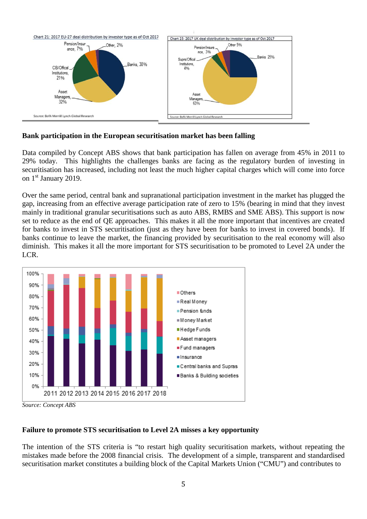

**Bank participation in the European securitisation market has been falling**

Data compiled by Concept ABS shows that bank participation has fallen on average from 45% in 2011 to 29% today. This highlights the challenges banks are facing as the regulatory burden of investing in securitisation has increased, including not least the much higher capital charges which will come into force on 1<sup>st</sup> January 2019.

Over the same period, central bank and supranational participation investment in the market has plugged the gap, increasing from an effective average participation rate of zero to 15% (bearing in mind that they invest mainly in traditional granular securitisations such as auto ABS, RMBS and SME ABS). This support is now set to reduce as the end of QE approaches. This makes it all the more important that incentives are created for banks to invest in STS securitisation (just as they have been for banks to invest in covered bonds). If banks continue to leave the market, the financing provided by securitisation to the real economy will also diminish. This makes it all the more important for STS securitisation to be promoted to Level 2A under the LCR.



*Source: Concept ABS*

### **Failure to promote STS securitisation to Level 2A misses a key opportunity**

The intention of the STS criteria is "to restart high quality securitisation markets, without repeating the mistakes made before the 2008 financial crisis. The development of a simple, transparent and standardised securitisation market constitutes a building block of the Capital Markets Union ("CMU") and contributes to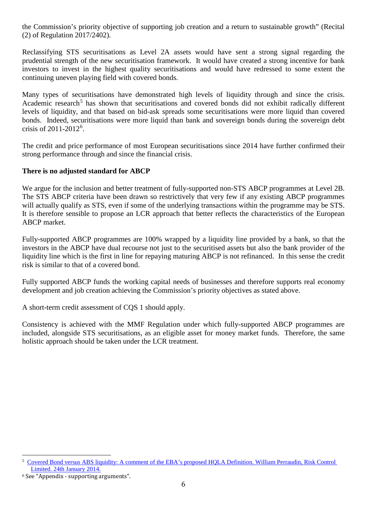the Commission's priority objective of supporting job creation and a return to sustainable growth" (Recital (2) of Regulation 2017/2402).

Reclassifying STS securitisations as Level 2A assets would have sent a strong signal regarding the prudential strength of the new securitisation framework. It would have created a strong incentive for bank investors to invest in the highest quality securitisations and would have redressed to some extent the continuing uneven playing field with covered bonds.

Many types of securitisations have demonstrated high levels of liquidity through and since the crisis. Academic research<sup>[5](#page-5-0)</sup> has shown that securitisations and covered bonds did not exhibit radically different levels of liquidity, and that based on bid-ask spreads some securitisations were more liquid than covered bonds. Indeed, securitisations were more liquid than bank and sovereign bonds during the sovereign debt crisis of 2011-2012[6](#page-5-1) .

The credit and price performance of most European securitisations since 2014 have further confirmed their strong performance through and since the financial crisis.

### **There is no adjusted standard for ABCP**

We argue for the inclusion and better treatment of fully-supported non-STS ABCP programmes at Level 2B. The STS ABCP criteria have been drawn so restrictively that very few if any existing ABCP programmes will actually qualify as STS, even if some of the underlying transactions within the programme may be STS. It is therefore sensible to propose an LCR approach that better reflects the characteristics of the European ABCP market.

Fully-supported ABCP programmes are 100% wrapped by a liquidity line provided by a bank, so that the investors in the ABCP have dual recourse not just to the securitised assets but also the bank provider of the liquidity line which is the first in line for repaying maturing ABCP is not refinanced. In this sense the credit risk is similar to that of a covered bond.

Fully supported ABCP funds the working capital needs of businesses and therefore supports real economy development and job creation achieving the Commission's priority objectives as stated above.

A short-term credit assessment of CQS 1 should apply.

Consistency is achieved with the MMF Regulation under which fully-supported ABCP programmes are included, alongside STS securitisations, as an eligible asset for money market funds. Therefore, the same holistic approach should be taken under the LCR treatment.

<span id="page-5-0"></span> $\frac{1}{5}$  [Covered Bond versus ABS liquidity: A comment of the EBA's proposed HQLA Definition. William Perraudin, Risk Control](http://www.riskcontrollimited.com/insights/covered-bond-versus-abs-liquidity/)  [Limited. 24th January 2014.](http://www.riskcontrollimited.com/insights/covered-bond-versus-abs-liquidity/)

<span id="page-5-1"></span><sup>6</sup> See "Appendix - supporting arguments".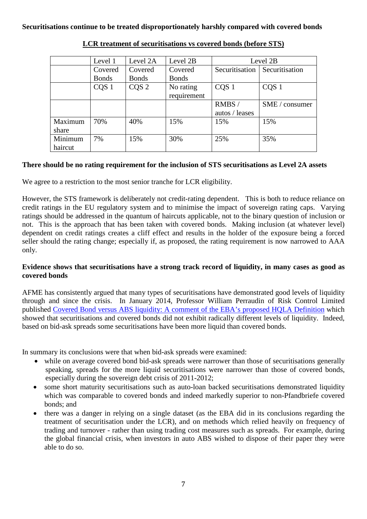#### **Securitisations continue to be treated disproportionately harshly compared with covered bonds**

|         | Level 1          | Level 2A         | Level 2B     | Level 2B         |                  |  |  |
|---------|------------------|------------------|--------------|------------------|------------------|--|--|
|         | Covered          | Covered          | Covered      | Securitisation   | Securitisation   |  |  |
|         | <b>Bonds</b>     | <b>Bonds</b>     | <b>Bonds</b> |                  |                  |  |  |
|         | CQS <sub>1</sub> | CQS <sub>2</sub> | No rating    | CQS <sub>1</sub> | CQS <sub>1</sub> |  |  |
|         |                  |                  | requirement  |                  |                  |  |  |
|         |                  |                  |              | RMBS/            | SME / consumer   |  |  |
|         |                  |                  |              | autos / leases   |                  |  |  |
| Maximum | 70%              | 40%              | 15%          | 15%              | 15%              |  |  |
| share   |                  |                  |              |                  |                  |  |  |
| Minimum | 7%               | 15%              | 30%          | 25%              | 35%              |  |  |
| haircut |                  |                  |              |                  |                  |  |  |

#### **LCR treatment of securitisations vs covered bonds (before STS)**

### **There should be no rating requirement for the inclusion of STS securitisations as Level 2A assets**

We agree to a restriction to the most senior tranche for LCR eligibility.

However, the STS framework is deliberately not credit-rating dependent. This is both to reduce reliance on credit ratings in the EU regulatory system and to minimise the impact of sovereign rating caps. Varying ratings should be addressed in the quantum of haircuts applicable, not to the binary question of inclusion or not. This is the approach that has been taken with covered bonds. Making inclusion (at whatever level) dependent on credit ratings creates a cliff effect and results in the holder of the exposure being a forced seller should the rating change; especially if, as proposed, the rating requirement is now narrowed to AAA only.

### **Evidence shows that securitisations have a strong track record of liquidity, in many cases as good as covered bonds**

AFME has consistently argued that many types of securitisations have demonstrated good levels of liquidity through and since the crisis. In January 2014, Professor William Perraudin of Risk Control Limited published [Covered Bond versus ABS liquidity: A comment of the EBA's proposed HQLA Definition](http://www.riskcontrollimited.com/insights/covered-bond-versus-abs-liquidity/) which showed that securitisations and covered bonds did not exhibit radically different levels of liquidity. Indeed, based on bid-ask spreads some securitisations have been more liquid than covered bonds.

In summary its conclusions were that when bid-ask spreads were examined:

- while on average covered bond bid-ask spreads were narrower than those of securitisations generally speaking, spreads for the more liquid securitisations were narrower than those of covered bonds, especially during the sovereign debt crisis of 2011-2012;
- some short maturity securitisations such as auto-loan backed securitisations demonstrated liquidity which was comparable to covered bonds and indeed markedly superior to non-Pfandbriefe covered bonds; and
- there was a danger in relying on a single dataset (as the EBA did in its conclusions regarding the treatment of securitisation under the LCR), and on methods which relied heavily on frequency of trading and turnover - rather than using trading cost measures such as spreads. For example, during the global financial crisis, when investors in auto ABS wished to dispose of their paper they were able to do so.